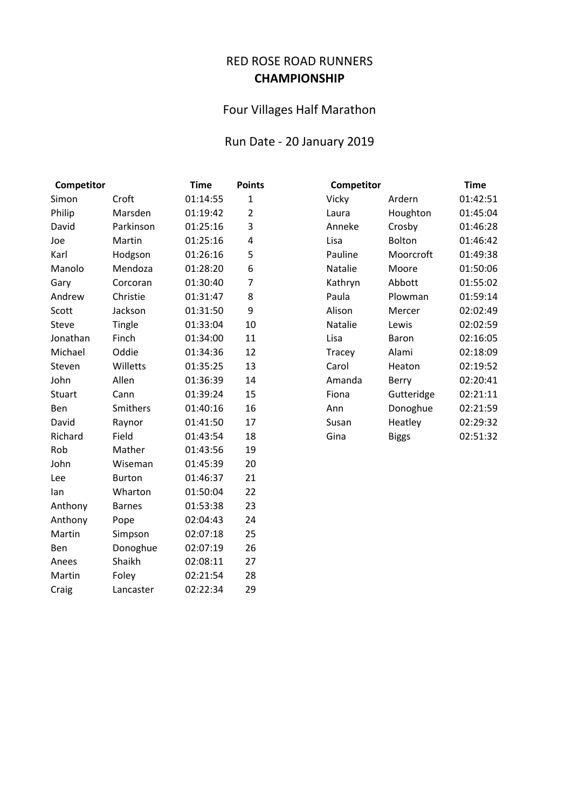## RED ROSE ROAD RUNNERS **CHAMPIONSHIP**

## Four Villages Half Marathon

## Run Date - 20 January 2019

| Competitor |               | <b>Time</b> | <b>Points</b>  | Competitor |              | <b>Time</b> |
|------------|---------------|-------------|----------------|------------|--------------|-------------|
| Simon      | Croft         | 01:14:55    | $\mathbf{1}$   | Vicky      | Ardern       | 01:42:51    |
| Philip     | Marsden       | 01:19:42    | $\overline{2}$ | Laura      | Houghton     | 01:45:04    |
| David      | Parkinson     | 01:25:16    | 3              | Anneke     | Crosby       | 01:46:28    |
| Joe        | Martin        | 01:25:16    | 4              | Lisa       | Bolton       | 01:46:42    |
| Karl       | Hodgson       | 01:26:16    | 5              | Pauline    | Moorcroft    | 01:49:38    |
| Manolo     | Mendoza       | 01:28:20    | 6              | Natalie    | Moore        | 01:50:06    |
| Gary       | Corcoran      | 01:30:40    | $\overline{7}$ | Kathryn    | Abbott       | 01:55:02    |
| Andrew     | Christie      | 01:31:47    | 8              | Paula      | Plowman      | 01:59:14    |
| Scott      | Jackson       | 01:31:50    | 9              | Alison     | Mercer       | 02:02:49    |
| Steve      | Tingle        | 01:33:04    | 10             | Natalie    | Lewis        | 02:02:59    |
| Jonathan   | Finch         | 01:34:00    | 11             | Lisa       | Baron        | 02:16:05    |
| Michael    | Oddie         | 01:34:36    | 12             | Tracey     | Alami        | 02:18:09    |
| Steven     | Willetts      | 01:35:25    | 13             | Carol      | Heaton       | 02:19:52    |
| John       | Allen         | 01:36:39    | 14             | Amanda     | Berry        | 02:20:41    |
| Stuart     | Cann          | 01:39:24    | 15             | Fiona      | Gutteridge   | 02:21:11    |
| Ben        | Smithers      | 01:40:16    | 16             | Ann        | Donoghue     | 02:21:59    |
| David      | Raynor        | 01:41:50    | 17             | Susan      | Heatley      | 02:29:32    |
| Richard    | Field         | 01:43:54    | 18             | Gina       | <b>Biggs</b> | 02:51:32    |
| Rob        | Mather        | 01:43:56    | 19             |            |              |             |
| John       | Wiseman       | 01:45:39    | 20             |            |              |             |
| Lee        | <b>Burton</b> | 01:46:37    | 21             |            |              |             |
| lan        | Wharton       | 01:50:04    | 22             |            |              |             |
| Anthony    | <b>Barnes</b> | 01:53:38    | 23             |            |              |             |
| Anthony    | Pope          | 02:04:43    | 24             |            |              |             |
| Martin     | Simpson       | 02:07:18    | 25             |            |              |             |
| Ben        | Donoghue      | 02:07:19    | 26             |            |              |             |
| Anees      | Shaikh        | 02:08:11    | 27             |            |              |             |
| Martin     | Foley         | 02:21:54    | 28             |            |              |             |
| Craig      | Lancaster     | 02:22:34    | 29             |            |              |             |

| Competitor | Time         |          |  |
|------------|--------------|----------|--|
| Vicky      | Ardern       | 01:42:51 |  |
| Laura      | Houghton     | 01:45:04 |  |
| Anneke     | Crosby       | 01:46:28 |  |
| Lisa       | Bolton       | 01:46:42 |  |
| Pauline    | Moorcroft    | 01:49:38 |  |
| Natalie    | Moore        | 01:50:06 |  |
| Kathryn    | Abbott       | 01:55:02 |  |
| Paula      | Plowman      | 01:59:14 |  |
| Alison     | Mercer       | 02:02:49 |  |
| Natalie    | Lewis        | 02:02:59 |  |
| Lisa       | Baron        | 02:16:05 |  |
| Tracey     | Alami        | 02:18:09 |  |
| Carol      | Heaton       | 02:19:52 |  |
| Amanda     | Berry        | 02:20:41 |  |
| Fiona      | Gutteridge   | 02:21:11 |  |
| Ann        | Donoghue     | 02:21:59 |  |
| Susan      | Heatley      | 02:29:32 |  |
| Gina       | <b>Biggs</b> | 02:51:32 |  |